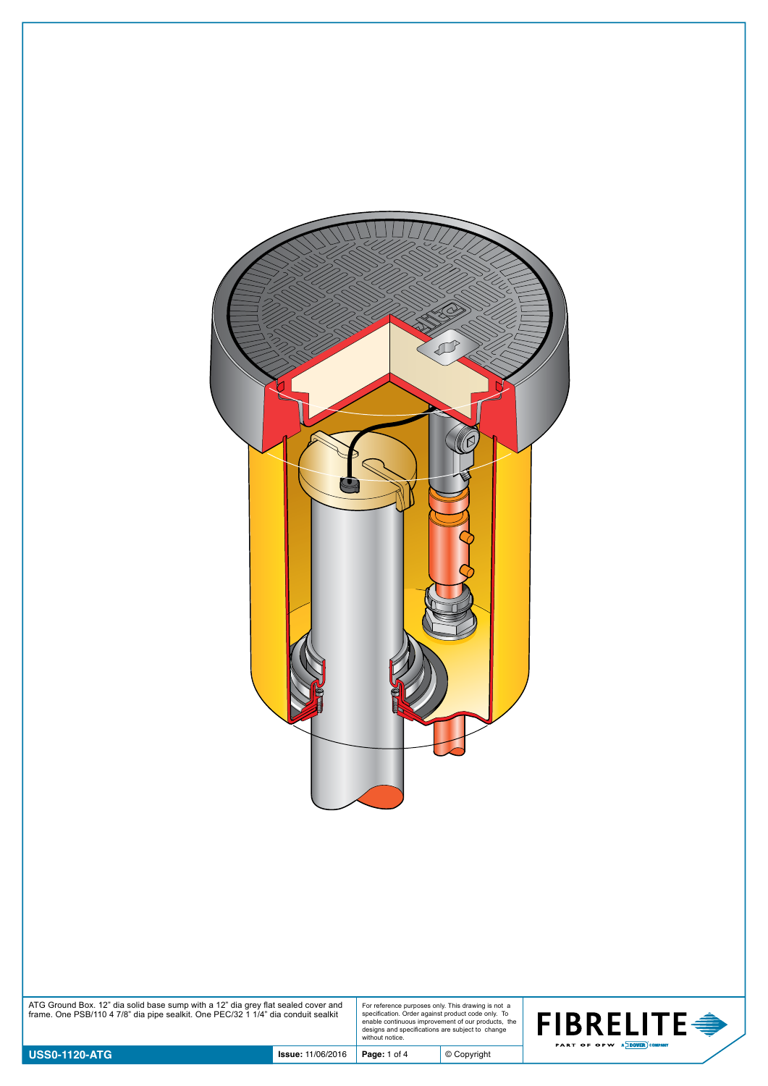

| ATG Ground Box. 12" dia solid base sump with a 12" dia grey flat sealed cover and<br>frame. One PSB/110 4 7/8" dia pipe sealkit. One PEC/32 1 1/4" dia conduit sealkit | For reference purposes only. This drawing is not a<br>specification. Order against product code only. To<br>enable continuous improvement of our products, the<br>designs and specifications are subject to change<br>without notice. | <b>FIBRELITE€</b><br><b>PART OF OPW A DOVER COMPANY</b> |
|------------------------------------------------------------------------------------------------------------------------------------------------------------------------|---------------------------------------------------------------------------------------------------------------------------------------------------------------------------------------------------------------------------------------|---------------------------------------------------------|
|                                                                                                                                                                        |                                                                                                                                                                                                                                       |                                                         |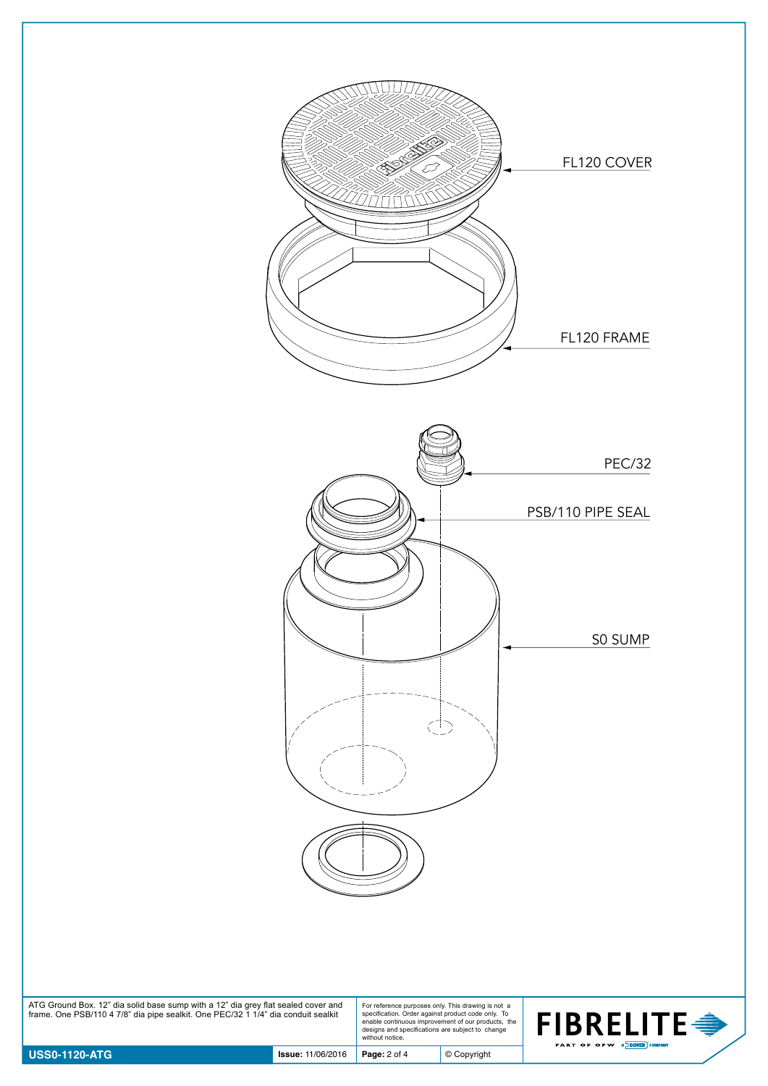

| ATG Ground Box. 12" dia solid base sump with a 12" dia grey flat sealed cover and<br>frame. One PSB/110 4 7/8" dia pipe sealkit. One PEC/32 1 1/4" dia conduit sealkit | For reference purposes only. This drawing is not a<br>specification. Order against product code only. To<br>enable continuous improvement of our products. the<br>designs and specifications are subject to change<br>without notice. |
|------------------------------------------------------------------------------------------------------------------------------------------------------------------------|---------------------------------------------------------------------------------------------------------------------------------------------------------------------------------------------------------------------------------------|



© Copyright

 $\bigoplus$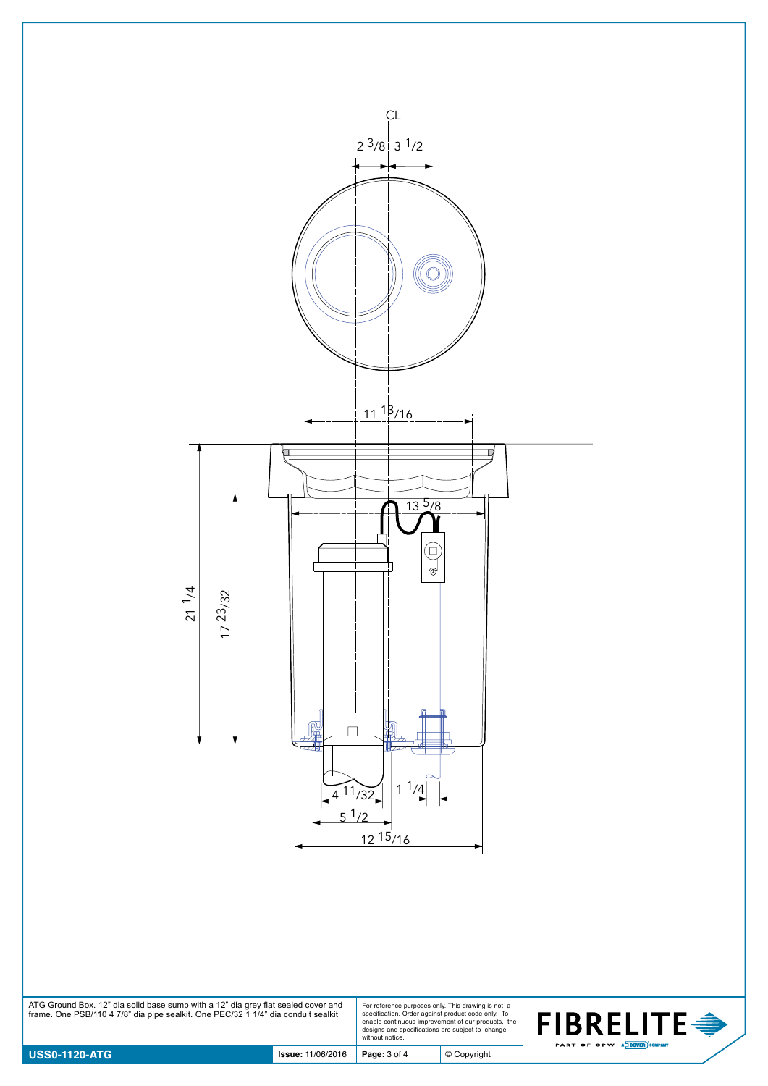